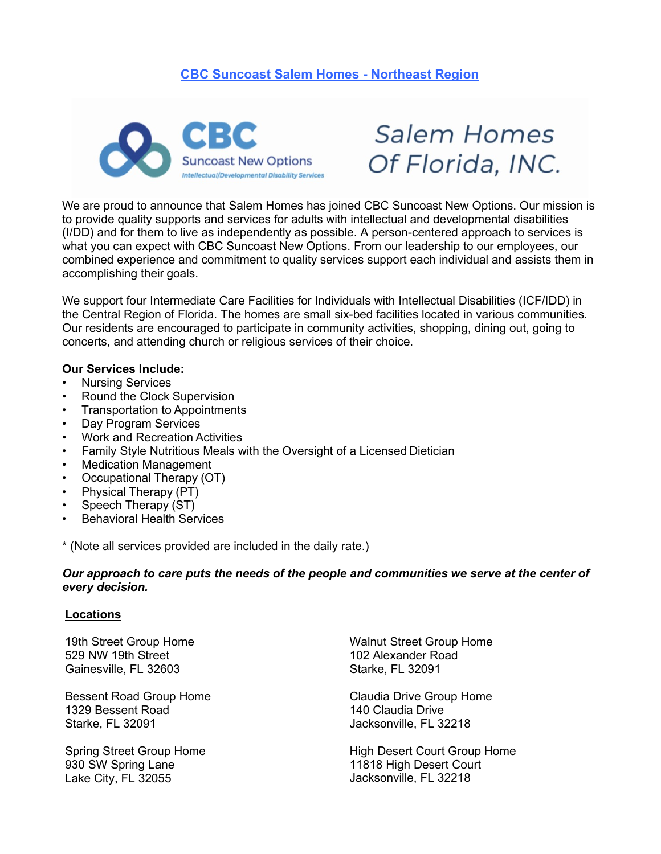## **CBC Suncoast Salem Homes - Northeast Region**



# **Salem Homes** Of Florida, INC.

We are proud to announce that Salem Homes has joined CBC Suncoast New Options. Our mission is to provide quality supports and services for adults with intellectual and developmental disabilities (I/DD) and for them to live as independently as possible. A person-centered approach to services is what you can expect with CBC Suncoast New Options. From our leadership to our employees, our combined experience and commitment to quality services support each individual and assists them in accomplishing their goals.

We support four Intermediate Care Facilities for Individuals with Intellectual Disabilities (ICF/IDD) in the Central Region of Florida. The homes are small six-bed facilities located in various communities. Our residents are encouraged to participate in community activities, shopping, dining out, going to concerts, and attending church or religious services of their choice.

#### **Our Services Include:**

- Nursing Services
- Round the Clock Supervision
- Transportation to Appointments
- Day Program Services
- Work and Recreation Activities
- Family Style Nutritious Meals with the Oversight of a Licensed Dietician
- Medication Management
- Occupational Therapy (OT)
- Physical Therapy (PT)
- Speech Therapy (ST)
- Behavioral Health Services

\* (Note all services provided are included in the daily rate.)

#### *Our approach to care puts the needs of the people and communities we serve at the center of every decision.*

#### **Locations**

19th Street Group Home 529 NW 19th Street Gainesville, FL 32603

Bessent Road Group Home 1329 Bessent Road Starke, FL 32091

Spring Street Group Home 930 SW Spring Lane Lake City, FL 32055

Walnut Street Group Home 102 Alexander Road Starke, FL 32091

Claudia Drive Group Home 140 Claudia Drive Jacksonville, FL 32218

High Desert Court Group Home 11818 High Desert Court Jacksonville, FL 32218